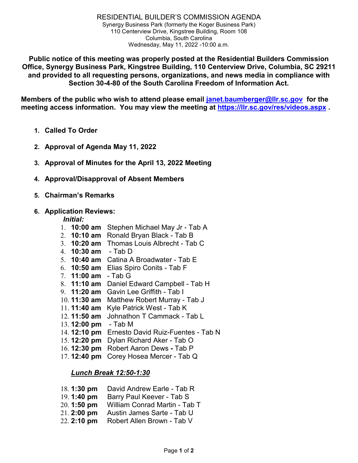**Public notice of this meeting was properly posted at the Residential Builders Commission Office, Synergy Business Park, Kingstree Building, 110 Centerview Drive, Columbia, SC 29211 and provided to all requesting persons, organizations, and news media in compliance with Section 30-4-80 of the South Carolina Freedom of Information Act.**

**Members of the public who wish to attend please email [janet.baumberger@llr.sc.gov](mailto:janet.baumberger@llr.sc.gov) for the meeting access information. You may view the meeting at <https://llr.sc.gov/res/videos.aspx> .**

- **1. Called To Order**
- **2. Approval of Agenda May 11, 2022**
- **3. Approval of Minutes for the April 13, 2022 Meeting**
- **4. Approval/Disapproval of Absent Members**
- **5. Chairman's Remarks**

#### **6. Application Reviews:**

#### *Initial:*

- 1. **10:00 am** Stephen Michael May Jr Tab A
- 2. **10:10 am** Ronald Bryan Black Tab B
- 3. **10:20 am** Thomas Louis Albrecht Tab C
- 4. **10:30 am** Tab D
- 5. **10:40 am** Catina A Broadwater Tab E
- 6. **10:50 am** Elias Spiro Conits Tab F
- 7. **11:00 am** Tab G
- 8. **11:10 am** Daniel Edward Campbell Tab H
- 9. **11:20 am** Gavin Lee Griffith Tab I
- 10. **11:30 am** Matthew Robert Murray Tab J
- 11. **11:40 am** Kyle Patrick West Tab K
- 12. **11:50 am** Johnathon T Cammack Tab L
- 13. **12:00 pm** Tab M
- 14. **12:10 pm** Ernesto David Ruiz-Fuentes Tab N
- 15. **12:20 pm** Dylan Richard Aker Tab O
- 16. **12:30 pm** Robert Aaron Dews **-** Tab P
- 17. **12:40 pm** Corey Hosea Mercer Tab Q

### *Lunch Break 12:50-1:30*

- 18. **1:30 pm** David Andrew Earle Tab R
- 19. **1:40 pm** Barry Paul Keever Tab S
- 20. **1:50 pm** William Conrad Martin Tab T
- 21. **2:00 pm** Austin James Sarte Tab U
- 22. **2:10 pm** Robert Allen Brown Tab V